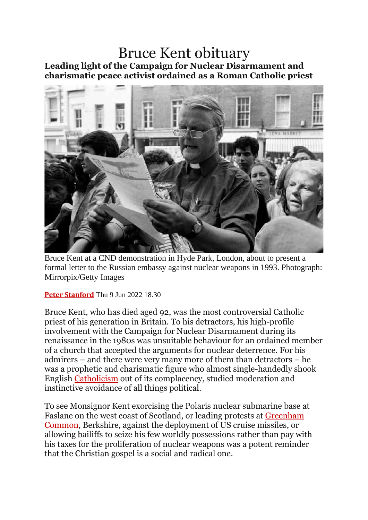## Bruce Kent obituary **Leading light of the Campaign for Nuclear Disarmament and charismatic peace activist ordained as a Roman Catholic priest**



Bruce Kent at a CND demonstration in Hyde Park, London, about to present a formal letter to the Russian embassy against nuclear weapons in 1993. Photograph: Mirrorpix/Getty Images

**Peter [Stanford](https://www.theguardian.com/profile/peter-stanford)** Thu 9 Jun 2022 18.30

Bruce Kent, who has died aged 92, was the most controversial Catholic priest of his generation in Britain. To his detractors, his high-profile involvement with the Campaign for Nuclear Disarmament during its renaissance in the 1980s was unsuitable behaviour for an ordained member of a church that accepted the arguments for nuclear deterrence. For his admirers – and there were very many more of them than detractors – he was a prophetic and charismatic figure who almost single-handedly shook English [Catholicism](https://www.theguardian.com/world/catholicism) out of its complacency, studied moderation and instinctive avoidance of all things political.

To see Monsignor Kent exorcising the Polaris nuclear submarine base at Faslane on the west coast of Scotland, or leading protests at [Greenham](https://www.theguardian.com/uk/greenham) [Common,](https://www.theguardian.com/uk/greenham) Berkshire, against the deployment of US cruise missiles, or allowing bailiffs to seize his few worldly possessions rather than pay with his taxes for the proliferation of nuclear weapons was a potent reminder that the Christian gospel is a social and radical one.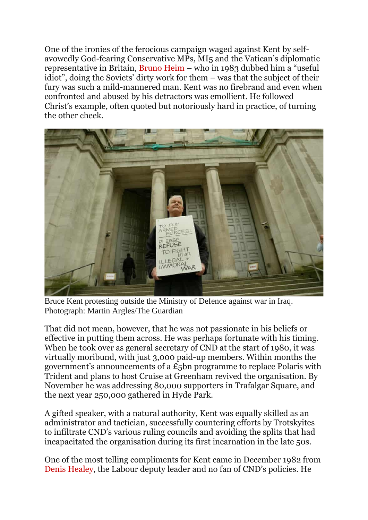One of the ironies of the ferocious campaign waged against Kent by selfavowedly God-fearing Conservative MPs, MI5 and the Vatican's diplomatic representative in Britain, [Bruno](https://www.theguardian.com/news/2003/mar/25/guardianobituaries.religion) Heim – who in 1983 dubbed him a "useful idiot", doing the Soviets' dirty work for them – was that the subject of their fury was such a mild-mannered man. Kent was no firebrand and even when confronted and abused by his detractors was emollient. He followed Christ's example, often quoted but notoriously hard in practice, of turning the other cheek.



Bruce Kent protesting outside the Ministry of Defence against war in Iraq. Photograph: Martin Argles/The Guardian

That did not mean, however, that he was not passionate in his beliefs or effective in putting them across. He was perhaps fortunate with his timing. When he took over as general secretary of CND at the start of 1980, it was virtually moribund, with just 3,000 paid-up members. Within months the government's announcements of a £5bn programme to replace Polaris with Trident and plans to host Cruise at Greenham revived the organisation. By November he was addressing 80,000 supporters in Trafalgar Square, and the next year 250,000 gathered in Hyde Park.

A gifted speaker, with a natural authority, Kent was equally skilled as an administrator and tactician, successfully countering efforts by Trotskyites to infiltrate CND's various ruling councils and avoiding the splits that had incapacitated the organisation during its first incarnation in the late 50s.

One of the most telling compliments for Kent came in December 1982 from Denis [Healey,](https://www.theguardian.com/politics/2015/oct/03/lord-healey) the Labour deputy leader and no fan of CND's policies. He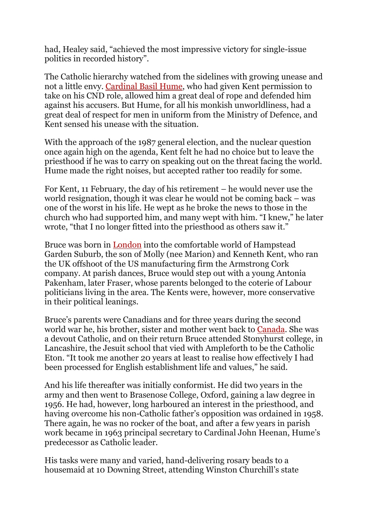had, Healey said, "achieved the most impressive victory for single-issue politics in recorded history".

The Catholic hierarchy watched from the sidelines with growing unease and not a little envy. [Cardinal](https://www.theguardian.com/uk/1999/jun/17/catholicism.religion) Basil Hume, who had given Kent permission to take on his CND role, allowed him a great deal of rope and defended him against his accusers. But Hume, for all his monkish unworldliness, had a great deal of respect for men in uniform from the Ministry of Defence, and Kent sensed his unease with the situation.

With the approach of the 1987 general election, and the nuclear question once again high on the agenda, Kent felt he had no choice but to leave the priesthood if he was to carry on speaking out on the threat facing the world. Hume made the right noises, but accepted rather too readily for some.

For Kent, 11 February, the day of his retirement – he would never use the world resignation, though it was clear he would not be coming back – was one of the worst in his life. He wept as he broke the news to those in the church who had supported him, and many wept with him. "I knew," he later wrote, "that I no longer fitted into the priesthood as others saw it."

Bruce was born in [London](https://www.theguardian.com/uk/london) into the comfortable world of Hampstead Garden Suburb, the son of Molly (nee Marion) and Kenneth Kent, who ran the UK offshoot of the US manufacturing firm the Armstrong Cork company. At parish dances, Bruce would step out with a young Antonia Pakenham, later Fraser, whose parents belonged to the coterie of Labour politicians living in the area. The Kents were, however, more conservative in their political leanings.

Bruce's parents were Canadians and for three years during the second world war he, his brother, sister and mother went back to [Canada.](https://www.theguardian.com/world/canada) She was a devout Catholic, and on their return Bruce attended Stonyhurst college, in Lancashire, the Jesuit school that vied with Ampleforth to be the Catholic Eton. "It took me another 20 years at least to realise how effectively I had been processed for English establishment life and values," he said.

And his life thereafter was initially conformist. He did two years in the army and then went to Brasenose College, Oxford, gaining a law degree in 1956. He had, however, long harboured an interest in the priesthood, and having overcome his non-Catholic father's opposition was ordained in 1958. There again, he was no rocker of the boat, and after a few years in parish work became in 1963 principal secretary to Cardinal John Heenan, Hume's predecessor as Catholic leader.

His tasks were many and varied, hand-delivering rosary beads to a housemaid at 10 Downing Street, attending Winston Churchill's state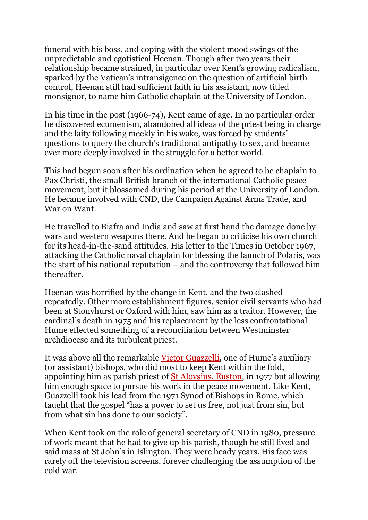funeral with his boss, and coping with the violent mood swings of the unpredictable and egotistical Heenan. Though after two years their relationship became strained, in particular over Kent's growing radicalism, sparked by the Vatican's intransigence on the question of artificial birth control, Heenan still had sufficient faith in his assistant, now titled monsignor, to name him Catholic chaplain at the University of London.

In his time in the post (1966-74), Kent came of age. In no particular order he discovered ecumenism, abandoned all ideas of the priest being in charge and the laity following meekly in his wake, was forced by students' questions to query the church's traditional antipathy to sex, and became ever more deeply involved in the struggle for a better world.

This had begun soon after his ordination when he agreed to be chaplain to Pax Christi, the small British branch of the international Catholic peace movement, but it blossomed during his period at the University of London. He became involved with CND, the Campaign Against Arms Trade, and War on Want.

He travelled to Biafra and India and saw at first hand the damage done by wars and western weapons there. And he began to criticise his own church for its head-in-the-sand attitudes. His letter to the Times in October 1967, attacking the Catholic naval chaplain for blessing the launch of Polaris, was the start of his national reputation – and the controversy that followed him thereafter.

Heenan was horrified by the change in Kent, and the two clashed repeatedly. Other more establishment figures, senior civil servants who had been at Stonyhurst or Oxford with him, saw him as a traitor. However, the cardinal's death in 1975 and his replacement by the less confrontational Hume effected something of a reconciliation between Westminster archdiocese and its turbulent priest.

It was above all the remarkable Victor [Guazzelli](https://www.theguardian.com/news/2004/jun/03/guardianobituaries.religion), one of Hume's auxiliary (or assistant) bishops, who did most to keep Kent within the fold, appointing him as parish priest of St [Aloysius,](https://parish.rcdow.org.uk/somerstown/) Euston, in 1977 but allowing him enough space to pursue his work in the peace movement. Like Kent, Guazzelli took his lead from the 1971 Synod of Bishops in Rome, which taught that the gospel "has a power to set us free, not just from sin, but from what sin has done to our society".

When Kent took on the role of general secretary of CND in 1980, pressure of work meant that he had to give up his parish, though he still lived and said mass at St John's in Islington. They were heady years. His face was rarely off the television screens, forever challenging the assumption of the cold war.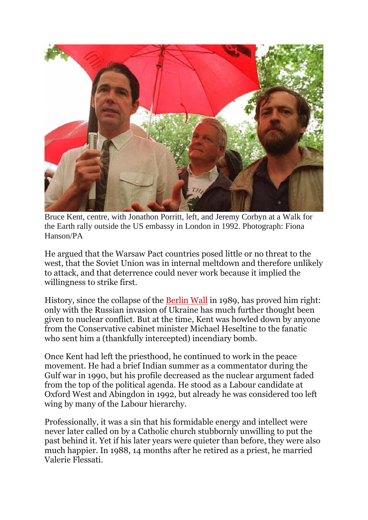

Bruce Kent, centre, with Jonathon Porritt, left, and Jeremy Corbyn at a Walk for the Earth rally outside the US embassy in London in 1992. Photograph: Fiona Hanson/PA

He argued that the Warsaw Pact countries posed little or no threat to the west, that the Soviet Union was in internal meltdown and therefore unlikely to attack, and that deterrence could never work because it implied the willingness to strike first.

History, since the collapse of the [Berlin](https://www.theguardian.com/world/berlinwall) Wall in 1989, has proved him right: only with the Russian invasion of Ukraine has much further thought been given to nuclear conflict. But at the time, Kent was howled down by anyone from the Conservative cabinet minister Michael Heseltine to the fanatic who sent him a (thankfully intercepted) incendiary bomb.

Once Kent had left the priesthood, he continued to work in the peace movement. He had a brief Indian summer as a commentator during the Gulf war in 1990, but his profile decreased as the nuclear argument faded from the top of the political agenda. He stood as a Labour candidate at Oxford West and Abingdon in 1992, but already he was considered too left wing by many of the Labour hierarchy.

Professionally, it was a sin that his formidable energy and intellect were never later called on by a Catholic church stubbornly unwilling to put the past behind it. Yet if his later years were quieter than before, they were also much happier. In 1988, 14 months after he retired as a priest, he married Valerie Flessati.